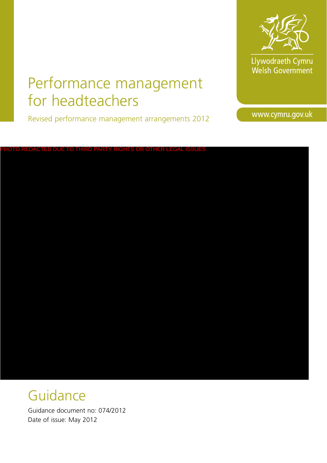

Llywodraeth Cymru<br>Welsh Government

# Performance management for headteachers

Revised performance management arrangements 2012

www.cymru.gov.uk

PHOTO REDACTED DUE TO THIRD PARTY RIGHTS OR OTHER LEGAL ISSUES

# Guidance

Guidance document no: 074/2012 Date of issue: May 2012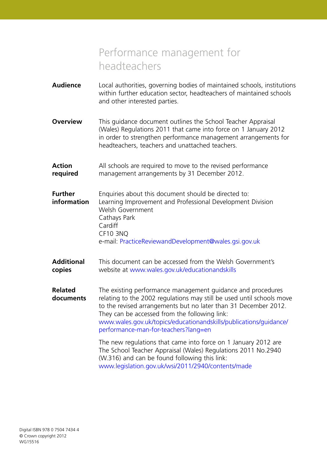# Performance management for headteachers

- **Audience** Local authorities, governing bodies of maintained schools, institutions within further education sector, headteachers of maintained schools and other interested parties. **Overview** This quidance document outlines the School Teacher Appraisal (Wales) Regulations 2011 that came into force on 1 January 2012 in order to strengthen performance management arrangements for headteachers, teachers and unattached teachers.
- **Action** All schools are required to move to the revised performance **required** management arrangements by 31 December 2012.
- **Further** Enquiries about this document should be directed to: **information** Learning Improvement and Professional Development Division Welsh Government Cathays Park **Cardiff** CF10 3NQ
	- e-mail: PracticeReviewandDevelopment@wales.gsi.gov.uk
- **Additional** This document can be accessed from the Welsh Government's **copies** website at www.wales.gov.uk/educationandskills

**Related** The existing performance management guidance and procedures **documents** relating to the 2002 regulations may still be used until schools move to the revised arrangements but no later than 31 December 2012. They can be accessed from the following link: www.wales.gov.uk/topics/educationandskills/publications/guidance/ performance-man-for-teachers?lang=en

> The new regulations that came into force on 1 January 2012 are The School Teacher Appraisal (Wales) Regulations 2011 No.2940 (W.316) and can be found following this link: www.legislation.gov.uk/wsi/2011/2940/contents/made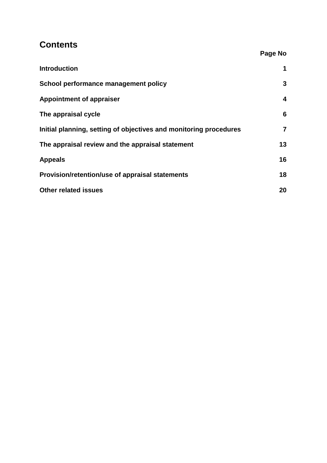# **Contents**

|                                                                   | Page No        |
|-------------------------------------------------------------------|----------------|
| <b>Introduction</b>                                               | 1              |
| School performance management policy                              | 3              |
| <b>Appointment of appraiser</b>                                   | 4              |
| The appraisal cycle                                               | 6              |
| Initial planning, setting of objectives and monitoring procedures | $\overline{7}$ |
| The appraisal review and the appraisal statement                  | 13             |
| <b>Appeals</b>                                                    | 16             |
| Provision/retention/use of appraisal statements                   | 18             |
| <b>Other related issues</b>                                       | 20             |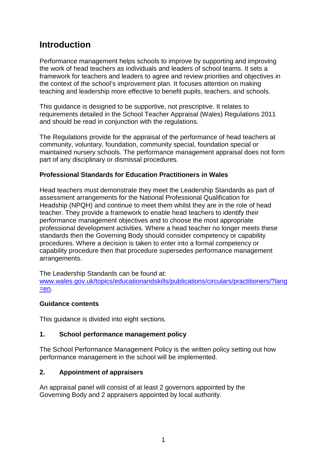# **Introduction**

Performance management helps schools to improve by supporting and improving the work of head teachers as individuals and leaders of school teams. It sets a framework for teachers and leaders to agree and review priorities and objectives in the context of the school's improvement plan. It focuses attention on making teaching and leadership more effective to benefit pupils, teachers, and schools.

This guidance is designed to be supportive, not prescriptive. It relates to requirements detailed in the School Teacher Appraisal (Wales) Regulations 2011 and should be read in conjunction with the regulations.

The Regulations provide for the appraisal of the performance of head teachers at community, voluntary, foundation, community special, foundation special or maintained nursery schools. The performance management appraisal does not form part of any disciplinary or dismissal procedures.

#### **Professional Standards for Education Practitioners in Wales**

Head teachers must demonstrate they meet the Leadership Standards as part of assessment arrangements for the National Professional Qualification for Headship (NPQH) and continue to meet them whilst they are in the role of head teacher. They provide a framework to enable head teachers to identify their performance management objectives and to choose the most appropriate professional development activities. Where a head teacher no longer meets these standards then the Governing Body should consider competency or capability procedures. Where a decision is taken to enter into a formal competency or capability procedure then that procedure supersedes performance management arrangements.

The Leadership Standards can be found at: [www.wales.gov.uk/topics/educationandskills/publications/circulars/practitioners/?lang](http://wales.gov.uk/topics/educationandskills/publications/circulars/practitioners/?lang=en) [=en](http://wales.gov.uk/topics/educationandskills/publications/circulars/practitioners/?lang=en).

#### **Guidance contents**

This guidance is divided into eight sections.

#### **1. School performance management policy**

The School Performance Management Policy is the written policy setting out how performance management in the school will be implemented.

#### **2. Appointment of appraisers**

An appraisal panel will consist of at least 2 governors appointed by the Governing Body and 2 appraisers appointed by local authority.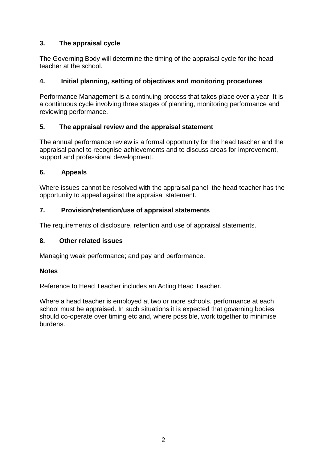#### **3. The appraisal cycle**

The Governing Body will determine the timing of the appraisal cycle for the head teacher at the school.

#### **4. Initial planning, setting of objectives and monitoring procedures**

Performance Management is a continuing process that takes place over a year. It is a continuous cycle involving three stages of planning, monitoring performance and reviewing performance.

#### **5. The appraisal review and the appraisal statement**

The annual performance review is a formal opportunity for the head teacher and the appraisal panel to recognise achievements and to discuss areas for improvement, support and professional development.

#### **6. Appeals**

Where issues cannot be resolved with the appraisal panel, the head teacher has the opportunity to appeal against the appraisal statement.

#### **7. Provision/retention/use of appraisal statements**

The requirements of disclosure, retention and use of appraisal statements.

#### **8. Other related issues**

Managing weak performance; and pay and performance.

#### **Notes**

Reference to Head Teacher includes an Acting Head Teacher.

Where a head teacher is employed at two or more schools, performance at each school must be appraised. In such situations it is expected that governing bodies should co-operate over timing etc and, where possible, work together to minimise burdens.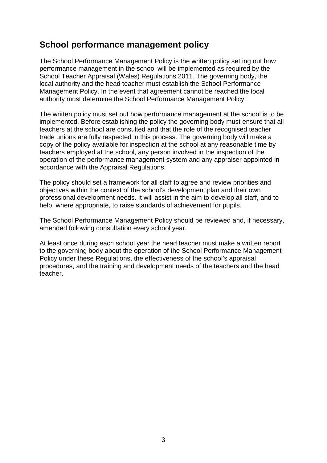### **School performance management policy**

The School Performance Management Policy is the written policy setting out how performance management in the school will be implemented as required by the School Teacher Appraisal (Wales) Regulations 2011. The governing body, the local authority and the head teacher must establish the School Performance Management Policy. In the event that agreement cannot be reached the local authority must determine the School Performance Management Policy.

The written policy must set out how performance management at the school is to be implemented. Before establishing the policy the governing body must ensure that all teachers at the school are consulted and that the role of the recognised teacher trade unions are fully respected in this process. The governing body will make a copy of the policy available for inspection at the school at any reasonable time by teachers employed at the school, any person involved in the inspection of the operation of the performance management system and any appraiser appointed in accordance with the Appraisal Regulations.

The policy should set a framework for all staff to agree and review priorities and objectives within the context of the school's development plan and their own professional development needs. It will assist in the aim to develop all staff, and to help, where appropriate, to raise standards of achievement for pupils.

The School Performance Management Policy should be reviewed and, if necessary, amended following consultation every school year.

At least once during each school year the head teacher must make a written report to the governing body about the operation of the School Performance Management Policy under these Regulations, the effectiveness of the school's appraisal procedures, and the training and development needs of the teachers and the head teacher.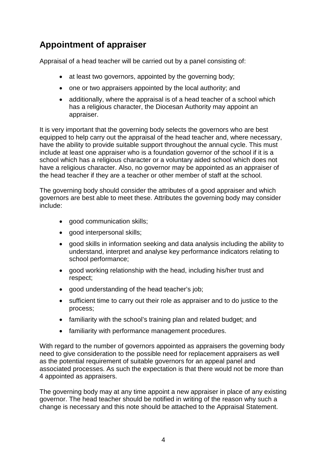# **Appointment of appraiser**

Appraisal of a head teacher will be carried out by a panel consisting of:

- at least two governors, appointed by the governing body;
- one or two appraisers appointed by the local authority; and
- additionally, where the appraisal is of a head teacher of a school which has a religious character, the Diocesan Authority may appoint an appraiser.

It is very important that the governing body selects the governors who are best equipped to help carry out the appraisal of the head teacher and, where necessary, have the ability to provide suitable support throughout the annual cycle. This must include at least one appraiser who is a foundation governor of the school if it is a school which has a religious character or a voluntary aided school which does not have a religious character. Also, no governor may be appointed as an appraiser of the head teacher if they are a teacher or other member of staff at the school.

The governing body should consider the attributes of a good appraiser and which governors are best able to meet these. Attributes the governing body may consider include:

- good communication skills;
- good interpersonal skills;
- good skills in information seeking and data analysis including the ability to understand, interpret and analyse key performance indicators relating to school performance;
- good working relationship with the head, including his/her trust and respect;
- good understanding of the head teacher's job;
- sufficient time to carry out their role as appraiser and to do justice to the process;
- familiarity with the school's training plan and related budget; and
- familiarity with performance management procedures.

With regard to the number of governors appointed as appraisers the governing body need to give consideration to the possible need for replacement appraisers as well as the potential requirement of suitable governors for an appeal panel and associated processes. As such the expectation is that there would not be more than 4 appointed as appraisers.

The governing body may at any time appoint a new appraiser in place of any existing governor. The head teacher should be notified in writing of the reason why such a change is necessary and this note should be attached to the Appraisal Statement.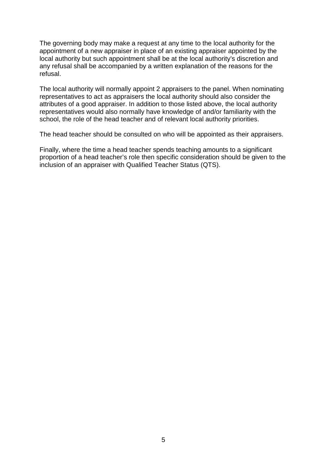The governing body may make a request at any time to the local authority for the appointment of a new appraiser in place of an existing appraiser appointed by the local authority but such appointment shall be at the local authority's discretion and any refusal shall be accompanied by a written explanation of the reasons for the refusal.

The local authority will normally appoint 2 appraisers to the panel. When nominating representatives to act as appraisers the local authority should also consider the attributes of a good appraiser. In addition to those listed above, the local authority representatives would also normally have knowledge of and/or familiarity with the school, the role of the head teacher and of relevant local authority priorities.

The head teacher should be consulted on who will be appointed as their appraisers.

Finally, where the time a head teacher spends teaching amounts to a significant proportion of a head teacher's role then specific consideration should be given to the inclusion of an appraiser with Qualified Teacher Status (QTS).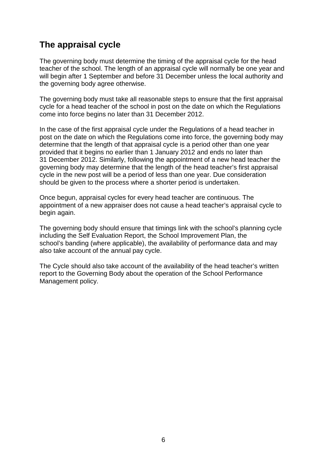# **The appraisal cycle**

The governing body must determine the timing of the appraisal cycle for the head teacher of the school. The length of an appraisal cycle will normally be one year and will begin after 1 September and before 31 December unless the local authority and the governing body agree otherwise.

The governing body must take all reasonable steps to ensure that the first appraisal cycle for a head teacher of the school in post on the date on which the Regulations come into force begins no later than 31 December 2012.

In the case of the first appraisal cycle under the Regulations of a head teacher in post on the date on which the Regulations come into force, the governing body may determine that the length of that appraisal cycle is a period other than one year provided that it begins no earlier than 1 January 2012 and ends no later than 31 December 2012. Similarly, following the appointment of a new head teacher the governing body may determine that the length of the head teacher's first appraisal cycle in the new post will be a period of less than one year. Due consideration should be given to the process where a shorter period is undertaken.

Once begun, appraisal cycles for every head teacher are continuous. The appointment of a new appraiser does not cause a head teacher's appraisal cycle to begin again.

The governing body should ensure that timings link with the school's planning cycle including the Self Evaluation Report, the School Improvement Plan, the school's banding (where applicable), the availability of performance data and may also take account of the annual pay cycle.

The Cycle should also take account of the availability of the head teacher's written report to the Governing Body about the operation of the School Performance Management policy.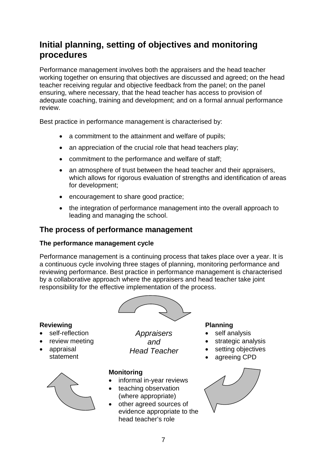# **Initial planning, setting of objectives and monitoring procedures**

Performance management involves both the appraisers and the head teacher working together on ensuring that objectives are discussed and agreed; on the head teacher receiving regular and objective feedback from the panel; on the panel ensuring, where necessary, that the head teacher has access to provision of adequate coaching, training and development; and on a formal annual performance review.

Best practice in performance management is characterised by:

- a commitment to the attainment and welfare of pupils;
- an appreciation of the crucial role that head teachers play:
- commitment to the performance and welfare of staff;
- an atmosphere of trust between the head teacher and their appraisers, which allows for rigorous evaluation of strengths and identification of areas for development;
- encouragement to share good practice;
- the integration of performance management into the overall approach to leading and managing the school.

#### **The process of performance management**

#### **The performance management cycle**

Performance management is a continuing process that takes place over a year. It is a continuous cycle involving three stages of planning, monitoring performance and reviewing performance. Best practice in performance management is characterised by a collaborative approach where the appraisers and head teacher take joint responsibility for the effective implementation of the process.



#### **Reviewing**

- self-reflection
- review meeting
- appraisal statement



*Appraisers and Head Teacher*

#### **Monitoring**

- informal in-year reviews
- teaching observation (where appropriate)
- other agreed sources of evidence appropriate to the head teacher's role

#### **Planning**

- self analysis
- strategic analysis
- setting objectives
- agreeing CPD

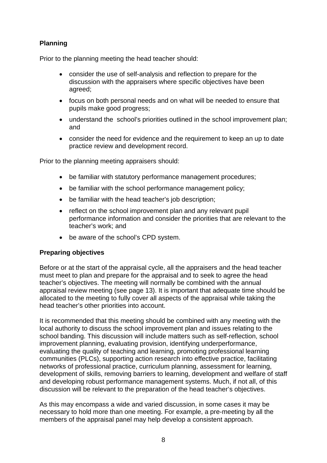#### **Planning**

Prior to the planning meeting the head teacher should:

- consider the use of self-analysis and reflection to prepare for the discussion with the appraisers where specific objectives have been agreed;
- focus on both personal needs and on what will be needed to ensure that pupils make good progress;
- understand the school's priorities outlined in the school improvement plan; and
- consider the need for evidence and the requirement to keep an up to date practice review and development record.

Prior to the planning meeting appraisers should:

- be familiar with statutory performance management procedures;
- be familiar with the school performance management policy;
- be familiar with the head teacher's job description;
- reflect on the school improvement plan and any relevant pupil performance information and consider the priorities that are relevant to the teacher's work; and
- be aware of the school's CPD system.

#### **Preparing objectives**

Before or at the start of the appraisal cycle, all the appraisers and the head teacher must meet to plan and prepare for the appraisal and to seek to agree the head teacher's objectives. The meeting will normally be combined with the annual appraisal review meeting (see page 13). It is important that adequate time should be allocated to the meeting to fully cover all aspects of the appraisal while taking the head teacher's other priorities into account.

It is recommended that this meeting should be combined with any meeting with the local authority to discuss the school improvement plan and issues relating to the school banding. This discussion will include matters such as self-reflection, school improvement planning, evaluating provision, identifying underperformance, evaluating the quality of teaching and learning, promoting professional learning communities (PLCs), supporting action research into effective practice, facilitating networks of professional practice, curriculum planning, assessment for learning, development of skills, removing barriers to learning, development and welfare of staff and developing robust performance management systems. Much, if not all, of this discussion will be relevant to the preparation of the head teacher's objectives.

As this may encompass a wide and varied discussion, in some cases it may be necessary to hold more than one meeting. For example, a pre-meeting by all the members of the appraisal panel may help develop a consistent approach.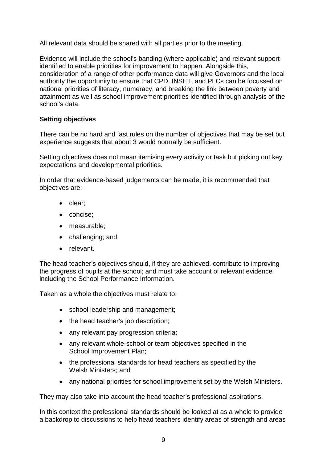All relevant data should be shared with all parties prior to the meeting.

Evidence will include the school's banding (where applicable) and relevant support identified to enable priorities for improvement to happen. Alongside this, consideration of a range of other performance data will give Governors and the local authority the opportunity to ensure that CPD, INSET, and PLCs can be focussed on national priorities of literacy, numeracy, and breaking the link between poverty and attainment as well as school improvement priorities identified through analysis of the school's data.

#### **Setting objectives**

There can be no hard and fast rules on the number of objectives that may be set but experience suggests that about 3 would normally be sufficient.

Setting objectives does not mean itemising every activity or task but picking out key expectations and developmental priorities.

In order that evidence-based judgements can be made, it is recommended that objectives are:

- clear;
- concise;
- measurable;
- challenging; and
- relevant.

The head teacher's objectives should, if they are achieved, contribute to improving the progress of pupils at the school; and must take account of relevant evidence including the School Performance Information.

Taken as a whole the objectives must relate to:

- school leadership and management;
- the head teacher's job description;
- any relevant pay progression criteria;
- any relevant whole-school or team objectives specified in the School Improvement Plan;
- the professional standards for head teachers as specified by the Welsh Ministers; and
- any national priorities for school improvement set by the Welsh Ministers.

They may also take into account the head teacher's professional aspirations.

In this context the professional standards should be looked at as a whole to provide a backdrop to discussions to help head teachers identify areas of strength and areas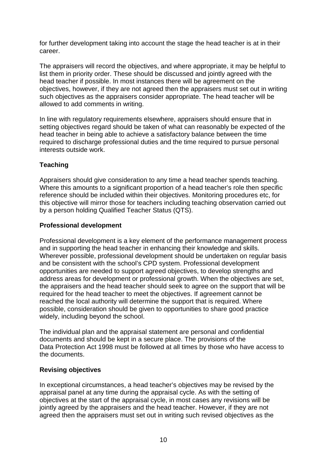for further development taking into account the stage the head teacher is at in their career.

The appraisers will record the objectives, and where appropriate, it may be helpful to list them in priority order. These should be discussed and jointly agreed with the head teacher if possible. In most instances there will be agreement on the objectives, however, if they are not agreed then the appraisers must set out in writing such objectives as the appraisers consider appropriate. The head teacher will be allowed to add comments in writing.

In line with regulatory requirements elsewhere, appraisers should ensure that in setting objectives regard should be taken of what can reasonably be expected of the head teacher in being able to achieve a satisfactory balance between the time required to discharge professional duties and the time required to pursue personal interests outside work.

#### **Teaching**

Appraisers should give consideration to any time a head teacher spends teaching. Where this amounts to a significant proportion of a head teacher's role then specific reference should be included within their objectives. Monitoring procedures etc, for this objective will mirror those for teachers including teaching observation carried out by a person holding Qualified Teacher Status (QTS).

#### **Professional development**

Professional development is a key element of the performance management process and in supporting the head teacher in enhancing their knowledge and skills. Wherever possible, professional development should be undertaken on regular basis and be consistent with the school's CPD system. Professional development opportunities are needed to support agreed objectives, to develop strengths and address areas for development or professional growth. When the objectives are set, the appraisers and the head teacher should seek to agree on the support that will be required for the head teacher to meet the objectives. If agreement cannot be reached the local authority will determine the support that is required. Where possible, consideration should be given to opportunities to share good practice widely, including beyond the school.

The individual plan and the appraisal statement are personal and confidential documents and should be kept in a secure place. The provisions of the Data Protection Act 1998 must be followed at all times by those who have access to the documents.

#### **Revising objectives**

In exceptional circumstances, a head teacher's objectives may be revised by the appraisal panel at any time during the appraisal cycle. As with the setting of objectives at the start of the appraisal cycle, in most cases any revisions will be jointly agreed by the appraisers and the head teacher. However, if they are not agreed then the appraisers must set out in writing such revised objectives as the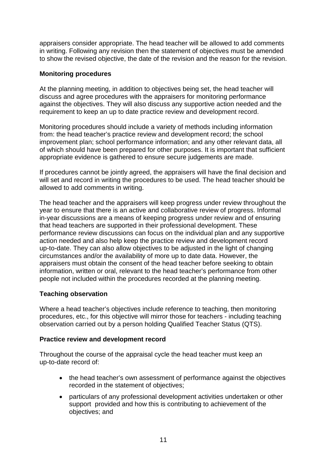appraisers consider appropriate. The head teacher will be allowed to add comments in writing. Following any revision then the statement of objectives must be amended to show the revised objective, the date of the revision and the reason for the revision.

#### **Monitoring procedures**

At the planning meeting, in addition to objectives being set, the head teacher will discuss and agree procedures with the appraisers for monitoring performance against the objectives. They will also discuss any supportive action needed and the requirement to keep an up to date practice review and development record.

Monitoring procedures should include a variety of methods including information from: the head teacher's practice review and development record; the school improvement plan; school performance information; and any other relevant data, all of which should have been prepared for other purposes. It is important that sufficient appropriate evidence is gathered to ensure secure judgements are made.

If procedures cannot be jointly agreed, the appraisers will have the final decision and will set and record in writing the procedures to be used. The head teacher should be allowed to add comments in writing.

The head teacher and the appraisers will keep progress under review throughout the year to ensure that there is an active and collaborative review of progress. Informal in-year discussions are a means of keeping progress under review and of ensuring that head teachers are supported in their professional development. These performance review discussions can focus on the individual plan and any supportive action needed and also help keep the practice review and development record up-to-date. They can also allow objectives to be adjusted in the light of changing circumstances and/or the availability of more up to date data. However, the appraisers must obtain the consent of the head teacher before seeking to obtain information, written or oral, relevant to the head teacher's performance from other people not included within the procedures recorded at the planning meeting.

#### **Teaching observation**

Where a head teacher's objectives include reference to teaching, then monitoring procedures, etc., for this objective will mirror those for teachers - including teaching observation carried out by a person holding Qualified Teacher Status (QTS).

#### **Practice review and development record**

Throughout the course of the appraisal cycle the head teacher must keep an up-to-date record of:

- the head teacher's own assessment of performance against the objectives recorded in the statement of objectives;
- particulars of any professional development activities undertaken or other support provided and how this is contributing to achievement of the objectives; and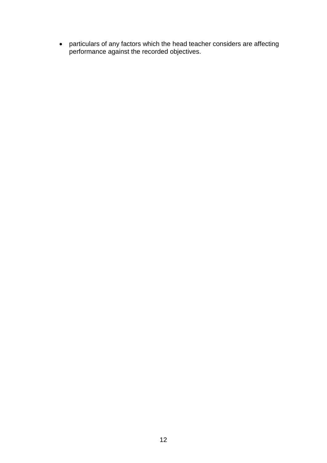• particulars of any factors which the head teacher considers are affecting performance against the recorded objectives.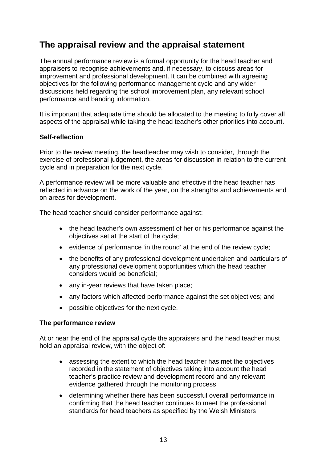# **The appraisal review and the appraisal statement**

The annual performance review is a formal opportunity for the head teacher and appraisers to recognise achievements and, if necessary, to discuss areas for improvement and professional development. It can be combined with agreeing objectives for the following performance management cycle and any wider discussions held regarding the school improvement plan, any relevant school performance and banding information.

It is important that adequate time should be allocated to the meeting to fully cover all aspects of the appraisal while taking the head teacher's other priorities into account.

#### **Self-reflection**

Prior to the review meeting, the headteacher may wish to consider, through the exercise of professional judgement, the areas for discussion in relation to the current cycle and in preparation for the next cycle.

A performance review will be more valuable and effective if the head teacher has reflected in advance on the work of the year, on the strengths and achievements and on areas for development.

The head teacher should consider performance against:

- the head teacher's own assessment of her or his performance against the objectives set at the start of the cycle;
- evidence of performance 'in the round' at the end of the review cycle;
- the benefits of any professional development undertaken and particulars of any professional development opportunities which the head teacher considers would be beneficial;
- any in-year reviews that have taken place;
- any factors which affected performance against the set objectives; and
- possible objectives for the next cycle.

#### **The performance review**

At or near the end of the appraisal cycle the appraisers and the head teacher must hold an appraisal review, with the object of:

- assessing the extent to which the head teacher has met the objectives recorded in the statement of objectives taking into account the head teacher's practice review and development record and any relevant evidence gathered through the monitoring process
- determining whether there has been successful overall performance in confirming that the head teacher continues to meet the professional standards for head teachers as specified by the Welsh Ministers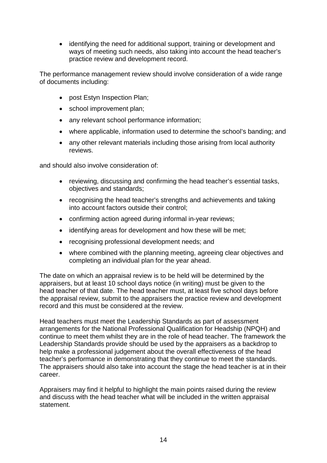• identifying the need for additional support, training or development and ways of meeting such needs, also taking into account the head teacher's practice review and development record.

The performance management review should involve consideration of a wide range of documents including:

- post Estyn Inspection Plan;
- school improvement plan;
- any relevant school performance information;
- where applicable, information used to determine the school's banding; and
- any other relevant materials including those arising from local authority reviews.

and should also involve consideration of:

- reviewing, discussing and confirming the head teacher's essential tasks, objectives and standards;
- recognising the head teacher's strengths and achievements and taking into account factors outside their control;
- confirming action agreed during informal in-year reviews;
- identifying areas for development and how these will be met;
- recognising professional development needs; and
- where combined with the planning meeting, agreeing clear objectives and completing an individual plan for the year ahead.

The date on which an appraisal review is to be held will be determined by the appraisers, but at least 10 school days notice (in writing) must be given to the head teacher of that date. The head teacher must, at least five school days before the appraisal review, submit to the appraisers the practice review and development record and this must be considered at the review.

Head teachers must meet the Leadership Standards as part of assessment arrangements for the National Professional Qualification for Headship (NPQH) and continue to meet them whilst they are in the role of head teacher. The framework the Leadership Standards provide should be used by the appraisers as a backdrop to help make a professional judgement about the overall effectiveness of the head teacher's performance in demonstrating that they continue to meet the standards. The appraisers should also take into account the stage the head teacher is at in their career.

Appraisers may find it helpful to highlight the main points raised during the review and discuss with the head teacher what will be included in the written appraisal statement.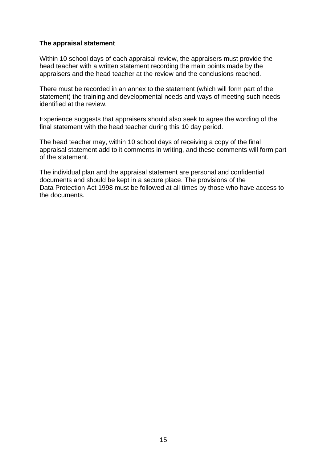#### **The appraisal statement**

Within 10 school days of each appraisal review, the appraisers must provide the head teacher with a written statement recording the main points made by the appraisers and the head teacher at the review and the conclusions reached.

There must be recorded in an annex to the statement (which will form part of the statement) the training and developmental needs and ways of meeting such needs identified at the review.

Experience suggests that appraisers should also seek to agree the wording of the final statement with the head teacher during this 10 day period.

The head teacher may, within 10 school days of receiving a copy of the final appraisal statement add to it comments in writing, and these comments will form part of the statement.

The individual plan and the appraisal statement are personal and confidential documents and should be kept in a secure place. The provisions of the Data Protection Act 1998 must be followed at all times by those who have access to the documents.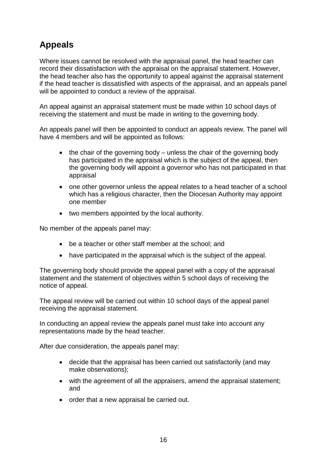# **Appeals**

Where issues cannot be resolved with the appraisal panel, the head teacher can record their dissatisfaction with the appraisal on the appraisal statement. However, the head teacher also has the opportunity to appeal against the appraisal statement if the head teacher is dissatisfied with aspects of the appraisal, and an appeals panel will be appointed to conduct a review of the appraisal.

An appeal against an appraisal statement must be made within 10 school days of receiving the statement and must be made in writing to the governing body.

An appeals panel will then be appointed to conduct an appeals review. The panel will have 4 members and will be appointed as follows:

- the chair of the governing body unless the chair of the governing body has participated in the appraisal which is the subject of the appeal, then the governing body will appoint a governor who has not participated in that appraisal
- one other governor unless the appeal relates to a head teacher of a school which has a religious character, then the Diocesan Authority may appoint one member
- two members appointed by the local authority.

No member of the appeals panel may:

- be a teacher or other staff member at the school; and
- have participated in the appraisal which is the subject of the appeal.

The governing body should provide the appeal panel with a copy of the appraisal statement and the statement of objectives within 5 school days of receiving the notice of appeal.

The appeal review will be carried out within 10 school days of the appeal panel receiving the appraisal statement.

In conducting an appeal review the appeals panel must take into account any representations made by the head teacher.

After due consideration, the appeals panel may:

- decide that the appraisal has been carried out satisfactorily (and may make observations);
- with the agreement of all the appraisers, amend the appraisal statement; and
- order that a new appraisal be carried out.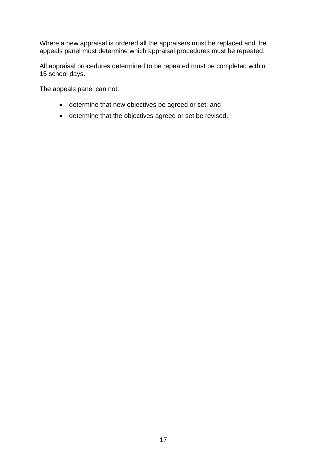Where a new appraisal is ordered all the appraisers must be replaced and the appeals panel must determine which appraisal procedures must be repeated.

All appraisal procedures determined to be repeated must be completed within 15 school days.

The appeals panel can not:

- determine that new objectives be agreed or set; and
- determine that the objectives agreed or set be revised.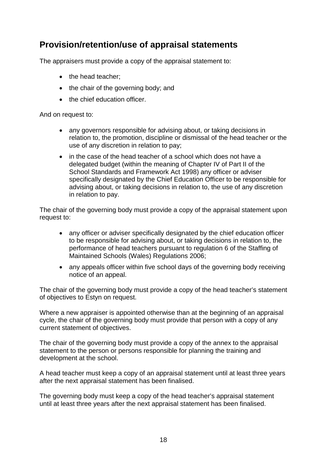# **Provision/retention/use of appraisal statements**

The appraisers must provide a copy of the appraisal statement to:

- the head teacher:
- the chair of the governing body; and
- the chief education officer.

And on request to:

- any governors responsible for advising about, or taking decisions in relation to, the promotion, discipline or dismissal of the head teacher or the use of any discretion in relation to pay;
- in the case of the head teacher of a school which does not have a delegated budget (within the meaning of Chapter IV of Part II of the School Standards and Framework Act 1998) any officer or adviser specifically designated by the Chief Education Officer to be responsible for advising about, or taking decisions in relation to, the use of any discretion in relation to pay.

The chair of the governing body must provide a copy of the appraisal statement upon request to:

- any officer or adviser specifically designated by the chief education officer to be responsible for advising about, or taking decisions in relation to, the performance of head teachers pursuant to regulation 6 of the Staffing of Maintained Schools (Wales) Regulations 2006;
- any appeals officer within five school days of the governing body receiving notice of an appeal.

The chair of the governing body must provide a copy of the head teacher's statement of objectives to Estyn on request.

Where a new appraiser is appointed otherwise than at the beginning of an appraisal cycle, the chair of the governing body must provide that person with a copy of any current statement of objectives.

The chair of the governing body must provide a copy of the annex to the appraisal statement to the person or persons responsible for planning the training and development at the school.

A head teacher must keep a copy of an appraisal statement until at least three years after the next appraisal statement has been finalised.

The governing body must keep a copy of the head teacher's appraisal statement until at least three years after the next appraisal statement has been finalised.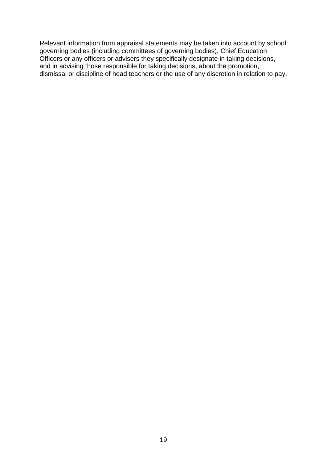Relevant information from appraisal statements may be taken into account by school governing bodies (including committees of governing bodies), Chief Education Officers or any officers or advisers they specifically designate in taking decisions, and in advising those responsible for taking decisions, about the promotion, dismissal or discipline of head teachers or the use of any discretion in relation to pay.